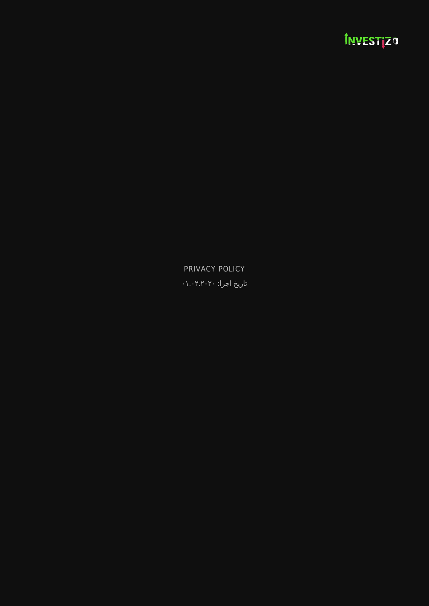# **İNVESTJZO**

PRIVACY POLICY تاریخ اجرا: ۰۱.۰۲.۲۰۲۰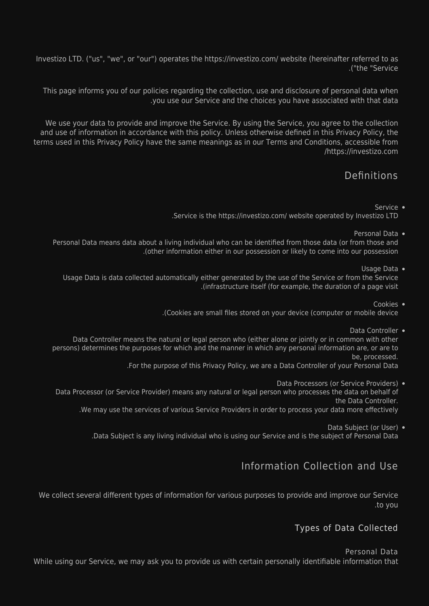Investizo LTD. ("us", "we", or "our") operates the https://investizo.com/ website (hereinafter referred to as the "Service").

This page informs you of our policies regarding the collection, use and disclosure of personal data when . you use our Service and the choices you have associated with that data

We use your data to provide and improve the Service. By using the Service, you agree to the collection and use of information in accordance with this policy. Unless otherwise defined in this Privacy Policy, the terms used in this Privacy Policy have the same meanings as in our Terms and Conditions, accessible from /https://investizo.com

# Definitions

Service •

.Service is the https://investizo.com/ website operated by Investizo LTD

Personal Data •

Personal Data means data about a living individual who can be identified from those data (or from those and fother information either in our possession or likely to come into our possession

Usage Data •

Usage Data is data collected automatically either generated by the use of the Service or from the Service infrastructure itself (for example, the duration of a page visit

- Cookies .(Cookies are small files stored on your device (computer or mobile device
	- Data Controller •

Data Controller means the natural or legal person who (either alone or jointly or in common with other persons) determines the purposes for which and the manner in which any personal information are, or are to be, processed. . For the purpose of this Privacy Policy, we are a Data Controller of your Personal Data

- Data Processors (or Service Providers) . Data Processor (or Service Provider) means any natural or legal person who processes the data on behalf of the Data Controller. We may use the services of various Service Providers in order to process your data more effectively.
	- Data Subject (or User) Data Subject is any living individual who is using our Service and is the subject of Personal Data.

# Information Collection and Use

We collect several different types of information for various purposes to provide and improve our Service to you.

## Types of Data Collected

Personal Data While using our Service, we may ask you to provide us with certain personally identifiable information that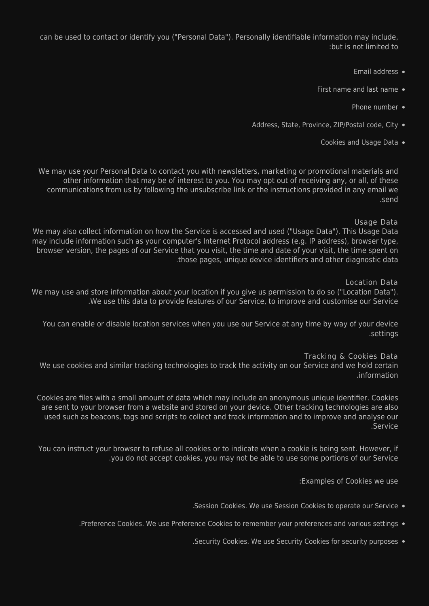can be used to contact or identify you ("Personal Data"). Personally identifiable information may include, to the limited to:

- Email address •
- First name and last name  $\bullet$ 
	- Phone number •
- Address, State, Province, ZIP/Postal code, City .
	- Cookies and Usage Data .

We may use your Personal Data to contact you with newsletters, marketing or promotional materials and other information that may be of interest to you. You may opt out of receiving any, or all, of these communications from us by following the unsubscribe link or the instructions provided in any email we send.

#### Usage Data

We may also collect information on how the Service is accessed and used ("Usage Data"). This Usage Data may include information such as your computer's Internet Protocol address (e.g. IP address), browser type, browser version, the pages of our Service that you visit, the time and date of your visit, the time spent on those pages, unique device identifiers and other diagnostic data.

#### Location Data

We may use and store information about your location if you give us permission to do so ("Location Data"). We use this data to provide features of our Service, to improve and customise our Service

You can enable or disable location services when you use our Service at any time by way of your device settings.

#### Tracking & Cookies Data

We use cookies and similar tracking technologies to track the activity on our Service and we hold certain information.

Cookies are files with a small amount of data which may include an anonymous unique identifier. Cookies are sent to your browser from a website and stored on your device. Other tracking technologies are also used such as beacons, tags and scripts to collect and track information and to improve and analyse our Service.

You can instruct your browser to refuse all cookies or to indicate when a cookie is being sent. However, if . you do not accept cookies, you may not be able to use some portions of our Service

#### : Examples of Cookies we use

- Session Cookies. We use Session Cookies to operate our Service .
- settings Preference Cookies. We use Preference Cookies to remember your preferences and various settings.
	- **. Security Cookies. We use Security Cookies for security purposes**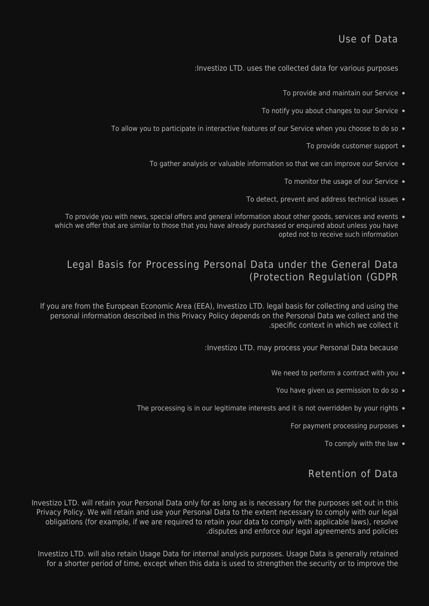## Use of Data

: Investizo LTD. uses the collected data for various purposes

- To provide and maintain our Service •
- To notify you about changes to our Service  $\bullet$
- To allow you to participate in interactive features of our Service when you choose to do so  $\bullet$ 
	- To provide customer support •
	- To gather analysis or valuable information so that we can improve our Service  $\bullet$ 
		- To monitor the usage of our Service .
		- To detect, prevent and address technical issues  $\bullet$
- To provide you with news, special offers and general information about other goods, services and events  $\bullet$ which we offer that are similar to those that you have already purchased or enquired about unless you have opted not to receive such information

## Legal Basis for Processing Personal Data under the General Data (Protection Regulation (GDPR

If you are from the European Economic Area (EEA), Investizo LTD. legal basis for collecting and using the personal information described in this Privacy Policy depends on the Personal Data we collect and the it context in which we collect it.

: Investizo LTD. may process your Personal Data because

- We need to perform a contract with you  $\bullet$ 
	- You have given us permission to do so •
- The processing is in our legitimate interests and it is not overridden by your rights  $\bullet$ 
	- For payment processing purposes
		- To comply with the law  $\bullet$

# Retention of Data

Investizo LTD, will retain your Personal Data only for as long as is necessary for the purposes set out in this Privacy Policy. We will retain and use your Personal Data to the extent necessary to comply with our legal obligations (for example, if we are required to retain your data to comply with applicable laws), resolve disputes and enforce our legal agreements and policies.

Investizo LTD, will also retain Usage Data for internal analysis purposes. Usage Data is generally retained for a shorter period of time, except when this data is used to strengthen the security or to improve the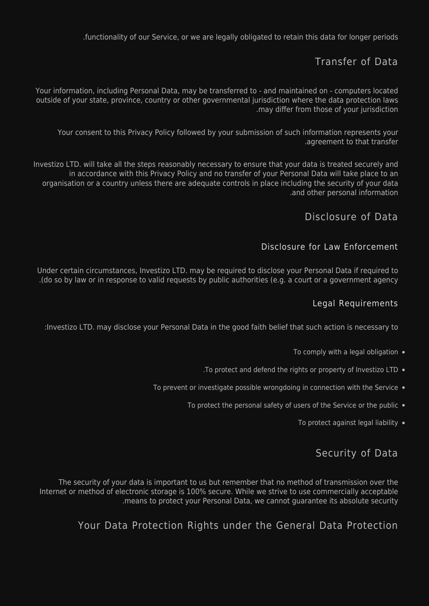functionality of our Service, or we are legally obligated to retain this data for longer periods.

## Transfer of Data

Your information, including Personal Data, may be transferred to - and maintained on - computers located outside of your state, province, country or other governmental jurisdiction where the data protection laws imay differ from those of your jurisdiction.

Your consent to this Privacy Policy followed by your submission of such information represents your .agreement to that transfer

Investizo LTD. will take all the steps reasonably necessary to ensure that your data is treated securely and in accordance with this Privacy Policy and no transfer of your Personal Data will take place to an organisation or a country unless there are adequate controls in place including the security of your data .and other personal information

## Disclosure of Data

## Disclosure for Law Enforcement

Under certain circumstances, Investizo LTD. may be required to disclose your Personal Data if required to (do so by law or in response to valid requests by public authorities (e.g. a court or a government agency).

#### Legal Requirements

tho is necessary to increase that the integration faith belief that such action is necessary to

- To comply with a legal obligation  $\bullet$
- . To protect and defend the rights or property of Investizo LTD  $\bullet$
- To prevent or investigate possible wrongdoing in connection with the Service  $\bullet$ 
	- To protect the personal safety of users of the Service or the public  $\bullet$ 
		- To protect against legal liability  $\bullet$

## Security of Data

The security of your data is important to us but remember that no method of transmission over the Internet or method of electronic storage is 100% secure. While we strive to use commercially acceptable security absolute security absolute its absolute security absolute security

## Your Data Protection Rights under the General Data Protection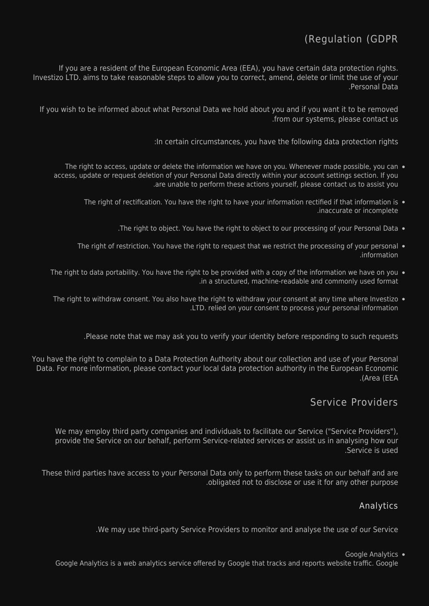# (Regulation (GDPR

If you are a resident of the European Economic Area (EEA), you have certain data protection rights. Investizo LTD, aims to take reasonable steps to allow you to correct, amend, delete or limit the use of your Data Personal.

If you wish to be informed about what Personal Data we hold about you and if you want it to be removed from our systems, please contact us.

: In certain circumstances, you have the following data protection rights

- The right to access, update or delete the information we have on you. Whenever made possible, you can  $\bullet$ access, update or request deletion of your Personal Data directly within your account settings section. If you are unable to perform these actions yourself, please contact us to assist you
	- The right of rectification. You have the right to have your information rectified if that information is  $\bullet$ incomplete or inaccurate.
		- The right to object. You have the right to object to our processing of your Personal Data  $\bullet$
	- The right of restriction. You have the right to request that we restrict the processing of your personal  $\bullet$ information.
- The right to data portability. You have the right to be provided with a copy of the information we have on you  $\bullet$ in a structured, machine-readable and commonly used format
- The right to withdraw consent. You also have the right to withdraw your consent at any time where Investizo  $\bullet$ .LTD. relied on your consent to process your personal information

. Please note that we may ask you to verify your identity before responding to such requests.

You have the right to complain to a Data Protection Authority about our collection and use of your Personal Data. For more information, please contact your local data protection authority in the European Economic CArea (EEA

## Service Providers

We may employ third party companies and individuals to facilitate our Service ("Service Providers"), provide the Service on our behalf, perform Service-related services or assist us in analysing how our .Service is used

These third parties have access to your Personal Data only to perform these tasks on our behalf and are publigated not to disclose or use it for any other purpose.

#### Analytics

We may use third-party Service Providers to monitor and analyse the use of our Service

Google Analytics •

Google Analytics is a web analytics service offered by Google that tracks and reports website traffic. Google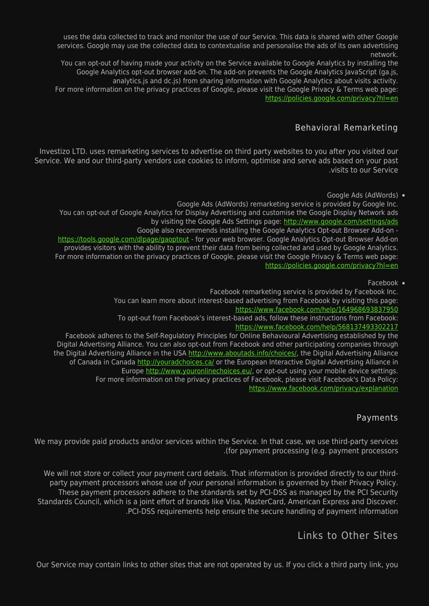uses the data collected to track and monitor the use of our Service. This data is shared with other Google services. Google may use the collected data to contextualise and personalise the ads of its own advertising .network

You can opt-out of having made your activity on the Service available to Google Analytics by installing the Google Analytics opt-out browser add-on. The add-on prevents the Google Analytics JavaScript (ga.js, analytics is and dc.js) from sharing information with Google Analytics about visits activity. For more information on the privacy practices of Google, please visit the Google Privacy & Terms web page: https://policies.google.com/privacy?hl=en

#### Behavioral Remarketing

Investizo LTD, uses remarketing services to advertise on third party websites to you after you visited our Service. We and our third-party vendors use cookies to inform, optimise and serve ads based on your past visits to our Service.

Google Ads (AdWords) .

. Google Ads (AdWords) remarketing service is provided by Google Inc. You can opt-out of Google Analytics for Display Advertising and customise the Google Display Network ads by visiting the Google Ads Settings page: http://www.google.com/settings/ads Google also recommends installing the Google Analytics Opt-out Browser Add-on https://tools.google.com/dlpage/gaoptout - for your web browser. Google Analytics Opt-out Browser Add-on provides visitors with the ability to prevent their data from being collected and used by Google Analytics. For more information on the privacy practices of Google, please visit the Google Privacy & Terms web page: https://policies.google.com/privacy?hl=en

Facebook

Facebook remarketing service is provided by Facebook Inc. You can learn more about interest-based advertising from Facebook by visiting this page: https://www.facebook.com/help/164968693837950 To opt-out from Facebook's interest-based ads, follow these instructions from Facebook: https://www.facebook.com/help/568137493302217 Facebook adheres to the Self-Regulatory Principles for Online Behavioural Advertising established by the Digital Advertising Alliance. You can also opt-out from Facebook and other participating companies through

the Digital Advertising Alliance in the USA http://www.aboutads.info/choices/, the Digital Advertising Alliance of Canada in Canada http://youradchoices.ca/ or the European Interactive Digital Advertising Alliance in Europe http://www.youronlinechoices.eu/, or opt-out using your mobile device settings. For more information on the privacy practices of Facebook, please visit Facebook's Data Policy: https://www.facebook.com/privacy/explanation

## Payments

We may provide paid products and/or services within the Service. In that case, we use third-party services for payment processing (e.g. payment processors).

party payment processors whose use of your personal information is governed by their Privacy Policy. We will not store or collect your payment card details. That information is provided directly to our third-These payment processors adhere to the standards set by PCI-DSS as managed by the PCI Security Standards Council, which is a joint effort of brands like Visa, MasterCard, American Express and Discover. . PCI-DSS requirements help ensure the secure handling of payment information

# Links to Other Sites

Our Service may contain links to other sites that are not operated by us. If you click a third party link, you